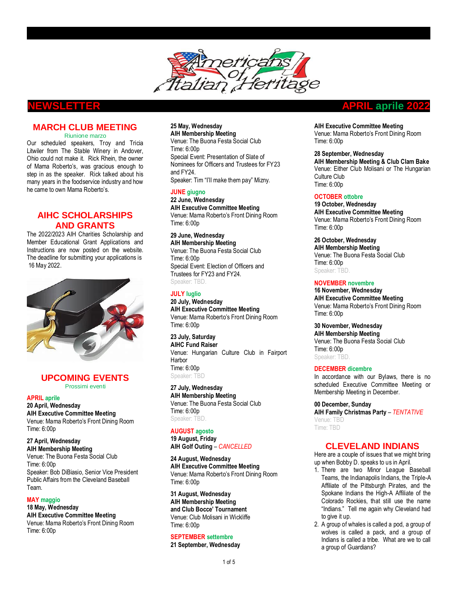

## **MARCH CLUB MEETING**  Riunione marzo

Our scheduled speakers, Troy and Tricia Litwiler from The Stable Winery in Andover, Ohio could not make it. Rick Rhein, the owner of Mama Roberto's, was gracious enough to step in as the speaker. Rick talked about his many years in the foodservice industry and how he came to own Mama Roberto's.

## **AIHC SCHOLARSHIPS AND GRANTS**

The 2022/2023 AIH Charities Scholarship and Member Educational Grant Applications and Instructions are now posted on the website. The deadline for submitting your applications is 16 May 2022.



## **UPCOMING EVENTS** Prossimi eventi

#### **APRIL aprile**

**20 April, Wednesday AIH Executive Committee Meeting** Venue: Mama Roberto's Front Dining Room Time: 6:00p

#### **27 April, Wednesday AIH Membership Meeting**

Venue: The Buona Festa Social Club Time: 6:00p Speaker: Bob DiBiasio, Senior Vice President Public Affairs from the Cleveland Baseball Team.

## **MAY maggio**

**18 May, Wednesday AIH Executive Committee Meeting** Venue: Mama Roberto's Front Dining Room Time: 6:00p

## **25 May, Wednesday AIH Membership Meeting**

Venue: The Buona Festa Social Club Time: 6:00p Special Event: Presentation of Slate of Nominees for Officers and Trustees for FY23 and FY24. Speaker: Tim "I'll make them pay" Mizny.

**JUNE giugno 22 June, Wednesday AIH Executive Committee Meeting** Venue: Mama Roberto's Front Dining Room Time: 6:00p

**29 June, Wednesday AIH Membership Meeting** Venue: The Buona Festa Social Club Time: 6:00p Special Event: Election of Officers and Trustees for FY23 and FY24. Speaker: TBD.

## **JULY luglio 20 July, Wednesday**

**AIH Executive Committee Meeting** Venue: Mama Roberto's Front Dining Room Time: 6:00p

**23 July, Saturday AIHC Fund Raiser**  Venue: Hungarian Culture Club in Fairport **Harbor** Time: 6:00p Speaker: TBD

**27 July, Wednesday AIH Membership Meeting** Venue: The Buona Festa Social Club Time: 6:00p Speaker: TBD.

# **AUGUST agosto**

**19 August, Friday AIH Golf Outing** – *CANCELLED*

**24 August, Wednesday AIH Executive Committee Meeting** Venue: Mama Roberto's Front Dining Room Time: 6:00p

**31 August, Wednesday AIH Membership Meeting and Club Bocce' Tournament** Venue: Club Molisani in Wickliffe Time: 6:00p

## **SEPTEMBER settembre**

**21 September, Wednesday**

## **NEWSLETTER APRIL aprile 2022**

**AIH Executive Committee Meeting** Venue: Mama Roberto's Front Dining Room Time: 6:00p

# **28 September, Wednesday**

**AIH Membership Meeting & Club Clam Bake** Venue: Either Club Molisani or The Hungarian Culture Club Time: 6:00p

## **OCTOBER ottobre**

**19 October, Wednesday AIH Executive Committee Meeting** Venue: Mama Roberto's Front Dining Room Time: 6:00p

**26 October, Wednesday AIH Membership Meeting** Venue: The Buona Festa Social Club Time: 6:00p Speaker: TBD.

## **NOVEMBER novembre**

**16 November, Wednesday AIH Executive Committee Meeting** Venue: Mama Roberto's Front Dining Room Time: 6:00p

**30 November, Wednesday AIH Membership Meeting** Venue: The Buona Festa Social Club Time: 6:00p Speaker: TBD.

## **DECEMBER dicembre**

In accordance with our Bylaws, there is no scheduled Executive Committee Meeting or Membership Meeting in December.

**00 December, Sunday AIH Family Christmas Party** – *TENTATIVE* Venue: TBD Time: TBD

## **CLEVELAND INDIANS**

Here are a couple of issues that we might bring up when Bobby D. speaks to us in April.

- 1. There are two Minor League Baseball Teams, the Indianapolis Indians, the Triple-A Affiliate of the Pittsburgh Pirates, and the Spokane Indians the High-A Affiliate of the Colorado Rockies, that still use the name "Indians." Tell me again why Cleveland had to give it up.
- 2. A group of whales is called a pod, a group of wolves is called a pack, and a group of Indians is called a tribe. What are we to call a group of Guardians?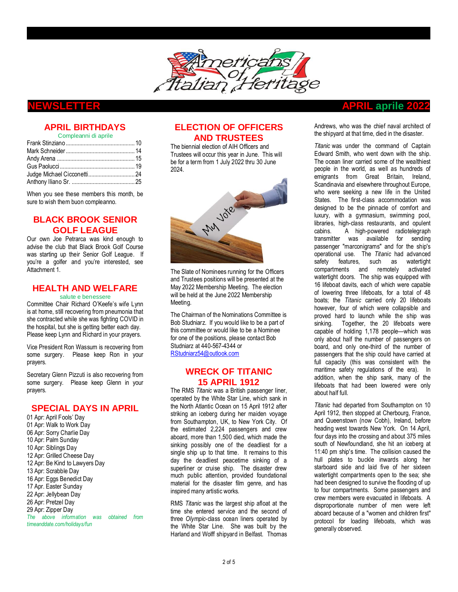

# **APRIL BIRTHDAYS**

Compleanni di aprile

When you see these members this month, be sure to wish them buon compleanno.

# **BLACK BROOK SENIOR GOLF LEAGUE**

Our own Joe Petrarca was kind enough to advise the club that Black Brook Golf Course was starting up their Senior Golf League. If you're a golfer and you're interested, see Attachment 1.

## **HEALTH AND WELFARE** salute e benessere

Committee Chair Richard O'Keefe's wife Lynn is at home, still recovering from pneumonia that she contracted while she was fighting COVID in the hospital, but she is getting better each day. Please keep Lynn and Richard in your prayers.

Vice President Ron Wassum is recovering from some surgery. Please keep Ron in your prayers.

Secretary Glenn Pizzuti is also recovering from some surgery. Please keep Glenn in your prayers.

## **SPECIAL DAYS IN APRIL**

01 Apr: April Fools' Day 01 Apr: Walk to Work Day 06 Apr: Sorry Charlie Day 10 Apr: Palm Sunday 10 Apr: Siblings Day 12 Apr: Grilled Cheese Day 12 Apr: Be Kind to Lawyers Day 13 Apr: Scrabble Day 16 Apr: Eggs Benedict Day 17 Apr. Easter Sunday 22 Apr: Jellybean Day 26 Apr: Pretzel Day 29 Apr: Zipper Day *The above information was obtained from timeanddate.com/holidays/fun* 

# **ELECTION OF OFFICERS AND TRUSTEES**

The biennial election of AIH Officers and Trustees will occur this year in June. This will be for a term from 1 July 2022 thru 30 June 2024.



The Slate of Nominees running for the Officers and Trustees positions will be presented at the May 2022 Membership Meeting. The election will be held at the June 2022 Membership Meeting.

The Chairman of the Nominations Committee is Bob Studniarz. If you would like to be a part of this committee or would like to be a Nominee for one of the positions, please contact Bob Studniarz at 440-567-4344 or [RStudniarz54@outlook.com](mailto:RStudniarz54@outlook.com)

## **WRECK OF TITANIC 15 APRIL 1912**

The RMS *Titanic* was a British passenger [liner,](https://en.wikipedia.org/wiki/Ocean_liner) operated by the [White Star Line,](https://en.wikipedia.org/wiki/White_Star_Line) which [sank in](https://en.wikipedia.org/wiki/Sinking_of_the_Titanic)  [the North Atlantic Ocean](https://en.wikipedia.org/wiki/Sinking_of_the_Titanic) on 15 April 1912 after striking an [iceberg](https://en.wikipedia.org/wiki/Iceberg) during her maiden voyage from [Southampton,](https://en.wikipedia.org/wiki/Southampton) UK, to [New York City.](https://en.wikipedia.org/wiki/New_York_City) Of the [estimated 2,224 passengers and crew](https://en.wikipedia.org/wiki/Sinking_of_the_RMS_Titanic#Casualties_and_survivors) aboard, more than 1,500 died, which made the sinking possibly one of the [deadliest for a](https://en.wikipedia.org/wiki/List_of_maritime_disasters)  [single ship](https://en.wikipedia.org/wiki/List_of_maritime_disasters) up to that time. It remains to this day the deadliest peacetime sinking of a [superliner](https://en.wikipedia.org/wiki/Superliner_(passenger_ship)) or [cruise ship.](https://en.wikipedia.org/wiki/Cruise_ship) The disaster drew much public attention, provided foundational material for the [disaster film](https://en.wikipedia.org/wiki/Disaster_film) genre, and has inspired many artistic works.

[RMS](https://en.wikipedia.org/wiki/Royal_Mail_Ship) *Titanic* was the [largest ship afloat](https://en.wikipedia.org/wiki/Timeline_of_largest_passenger_ships) at the time she entered service and the second of three *Olympic*[-class ocean liners](https://en.wikipedia.org/wiki/Olympic-class_ocean_liner) operated by the White Star Line. She was built by the [Harland and Wolff](https://en.wikipedia.org/wiki/Harland_and_Wolff) shipyard in [Belfast.](https://en.wikipedia.org/wiki/Belfast) [Thomas](https://en.wikipedia.org/wiki/Thomas_Andrews_(shipbuilder)) 

# **NEWSLETTER APRIL aprile 2022**

[Andrews,](https://en.wikipedia.org/wiki/Thomas_Andrews_(shipbuilder)) who was the chief naval architect of the shipyard at that time, died in the disaster.

*Titanic* was under the command of Captain [Edward Smith,](https://en.wikipedia.org/wiki/Edward_Smith_(sea_captain)) who [went down with the](https://en.wikipedia.org/wiki/The_captain_goes_down_with_the_ship) ship. The ocean liner carried some of the wealthiest people in the world, as well as hundreds of emigrants from [Great Britain, Ireland,](https://en.wikipedia.org/wiki/United_Kingdom_of_Great_Britain_and_Ireland) [Scandinavia](https://en.wikipedia.org/wiki/Scandinavia) and elsewhere throughout Europe, who were seeking a new life in the United States. The first-class accommodation was designed to be the pinnacle of comfort and luxury, with a gymnasium, swimming pool, libraries, high-class restaurants, and opulent cabins. A high-powered [radiotelegraph](https://en.wikipedia.org/wiki/Wireless_telegraphy)  [transmitter](https://en.wikipedia.org/wiki/Wireless_telegraphy) was available for sending passenger "marconigrams" and for the ship's operational use. The *Titanic* had advanced safety features, such as watertight compartments and remotely activated watertight doors. The ship was equipped with 16 lifeboat [davits,](https://en.wikipedia.org/wiki/Davit) each of which were capable of lowering three lifeboats, for a total of 48 boats; the *Titanic* carried only [20 lifeboats](https://en.wikipedia.org/wiki/Lifeboats_of_the_RMS_Titanic) however, four of which were collapsible and proved hard to launch while the ship was sinking. Together, the 20 [lifeboats](https://en.wikipedia.org/wiki/Lifeboat_(shipboard)) were capable of holding 1,178 people—which was only about half the number of passengers on board, and only one-third of the number of passengers that the ship could have carried at full capacity (this was consistent with the [maritime safety](https://en.wikipedia.org/wiki/Maritime_safety) regulations of the era). In addition, when the ship sank, many of the lifeboats that had been lowered were only about half full.

*Titanic* had departed from Southampton on 10 April 1912, then stopped a[t Cherbourg,](https://en.wikipedia.org/wiki/Cherbourg) France, and Queenstown (now [Cobh\),](https://en.wikipedia.org/wiki/Cobh) Ireland, before heading west towards New York. On 14 April, four days into the crossing and about 375 miles south of [Newfoundland,](https://en.wikipedia.org/wiki/Newfoundland_(island)) she hit an iceberg at 11:40 pm ship's time. The collision caused the [hull](https://en.wikipedia.org/wiki/Hull_(watercraft)) plates to buckle inwards along her [starboard](https://en.wikipedia.org/wiki/Port_and_starboard) side and laid five of her sixteen watertight [compartments](https://en.wikipedia.org/wiki/Compartment_(ship)) open to the sea; she had been designed to survive the flooding of up to four compartments. Some passengers and crew members were evacuated in lifeboats. A disproportionate number of men were left aboard because of a ["women and children first"](https://en.wikipedia.org/wiki/Women_and_children_first) protocol for loading lifeboats, which was generally observed.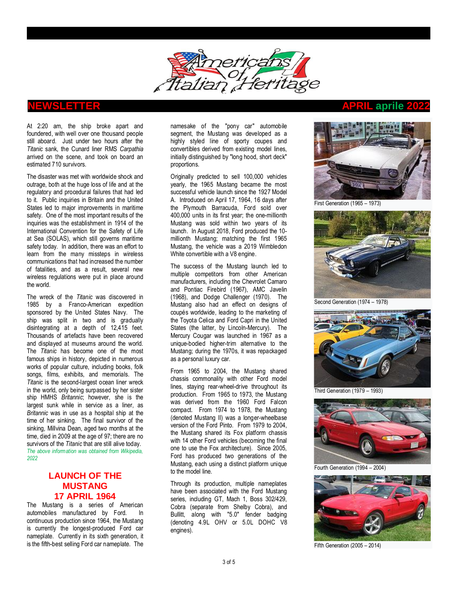

At 2:20 am, the ship broke apart and foundered, with well over one thousand people still aboard. Just under two hours after the *Titanic* sank, the Cunard liner RMS *[Carpathia](https://en.wikipedia.org/wiki/RMS_Carpathia)* arrived on the scene, and took on board an estimated 710 survivors.

The disaster was met with worldwide shock and outrage, both at the huge loss of life and at the regulatory and procedural failures that had led to it. Public inquiries in Britain and the United States led to [major improvements in maritime](https://en.wikipedia.org/wiki/Changes_in_safety_practices_after_the_sinking_of_the_RMS_Titanic)  [safety.](https://en.wikipedia.org/wiki/Changes_in_safety_practices_after_the_sinking_of_the_RMS_Titanic) One of the most important results of the inquiries was the establishment in 1914 of the [International Convention for the Safety of Life](https://en.wikipedia.org/wiki/SOLAS_Convention)  [at Sea](https://en.wikipedia.org/wiki/SOLAS_Convention) (SOLAS), which still governs maritime safety today. In addition, there was an effort to learn from the many missteps in wireless communications that had increased the number of fatalities, and as a result, several new wireless regulations were put in place around the world.

The [wreck of the](https://en.wikipedia.org/wiki/Wreck_of_the_RMS_Titanic) *Titanic* was discovered in 1985 by a Franco-American expedition sponsored by the [United States Navy.](https://en.wikipedia.org/wiki/United_States_Navy) The ship was split in two and is gradually disintegrating at a depth of 12,415 feet. Thousands of artefacts have been recovered and displayed at museums around the world. The *Titanic* has become one of the most famous ships in history, depicted in numerous [works of popular culture, including books, folk](https://en.wikipedia.org/wiki/RMS_Titanic_in_popular_culture)  [songs, films, exhibits, and memorials.](https://en.wikipedia.org/wiki/RMS_Titanic_in_popular_culture) The *Titanic* is the second-largest ocean liner wreck in the world, only being surpassed by her sister ship HMHS *[Britannic](https://en.wikipedia.org/wiki/HMHS_Britannic)*; however, she is the largest sunk while in service as a liner, as *Britannic* was in use as a [hospital ship](https://en.wikipedia.org/wiki/Hospital_ship) at the time of her sinking. The final survivor of the sinking, [Millvina Dean,](https://en.wikipedia.org/wiki/Millvina_Dean) aged two months at the time, died in 2009 at the age of 97; there are no survivors of the *Titanic* that are still alive today. *The above information was obtained from Wikipedia, 2022*

# **LAUNCH OF THE MUSTANG 17 APRIL 1964**

The Mustang is a series of American [automobiles](https://en.wikipedia.org/wiki/Car) manufactured by [Ford.](https://en.wikipedia.org/wiki/Ford_Motor_Company) In continuous production since 1964, the Mustang is currently the longest-produced Ford car nameplate. Currently in its [sixth generation,](https://en.wikipedia.org/wiki/Ford_Mustang_(sixth_generation)) it is the fifth-best selling Ford car nameplate. The namesake of the ["pony car"](https://en.wikipedia.org/wiki/Pony_car) automobile segment, the Mustang was developed as a highly styled line of sporty coupes and convertibles derived from existing model lines, initially distinguished by "long hood, short deck" proportions.

Originally predicted to sell 100,000 vehicles yearly, the 1965 Mustang became the most successful vehicle launch since the [1927 Model](https://en.wikipedia.org/wiki/Ford_Model_A_(1927%E2%80%9331))  [A.](https://en.wikipedia.org/wiki/Ford_Model_A_(1927%E2%80%9331)) Introduced on April 17, 1964, 16 days after the [Plymouth Barracuda,](https://en.wikipedia.org/wiki/Plymouth_Barracuda) Ford sold over 400,000 units in its first year; the one-millionth Mustang was sold within two years of its launch. In August 2018, Ford produced the 10 millionth Mustang; matching the first 1965 Mustang, the vehicle was a 2019 Wimbledon White convertible with a V8 engine.

The success of the Mustang launch led to multiple competitors from other American manufacturers, including the [Chevrolet Camaro](https://en.wikipedia.org/wiki/Chevrolet_Camaro) and [Pontiac Firebird](https://en.wikipedia.org/wiki/Pontiac_Firebird) (1967), [AMC Javelin](https://en.wikipedia.org/wiki/AMC_Javelin) (1968), and [Dodge Challenger](https://en.wikipedia.org/wiki/Dodge_Challenger) (1970). The Mustang also had an effect on designs of coupés worldwide, leading to the marketing of the [Toyota Celica](https://en.wikipedia.org/wiki/Toyota_Celica) and [Ford Capri](https://en.wikipedia.org/wiki/Ford_Capri) in the United States (the latter, by Lincoln-Mercury). The [Mercury Cougar](https://en.wikipedia.org/wiki/Mercury_Cougar) was launched in 1967 as a unique-bodied higher-trim alternative to the Mustang; during the 1970s, it was repackaged as a personal luxury car.

From 1965 to 2004, the Mustang shared chassis commonality with other Ford model lines, staying rear-wheel-drive throughout its production. From 1965 to 1973, the Mustang was derived from the 1960 [Ford Falcon](https://en.wikipedia.org/wiki/Ford_Falcon_(North_America)) compact. From 1974 to 1978, the Mustang (denoted Mustang II) was a longer-wheelbase version of the [Ford Pinto.](https://en.wikipedia.org/wiki/Ford_Pinto) From 1979 to 2004, the Mustang shared its [Fox platform](https://en.wikipedia.org/wiki/Ford_Fox_platform) chassis with 14 other Ford vehicles (becoming the final one to use the Fox architecture). Since 2005, Ford has produced two generations of the Mustang, each using a distinct platform unique to the model line.

Through its production, multiple nameplates have been associated with the Ford Mustang series, including GT, Mach 1, Boss 302/429, Cobra (separate from [Shelby Cobra\)](https://en.wikipedia.org/wiki/Shelby_Cobra), and Bullitt, along with "5.0" fender badging (denoting 4.9L OHV or 5.0L DOHC V8 engines).

# **NEWSLETTER APRIL aprile 2022**



First Generation (1965 – 1973)



Second Generation (1974 – 1978)



Third Generation (1979 – 1993)



Fourth Generation (1994 – 2004)



Fifth Generation (2005 – 2014)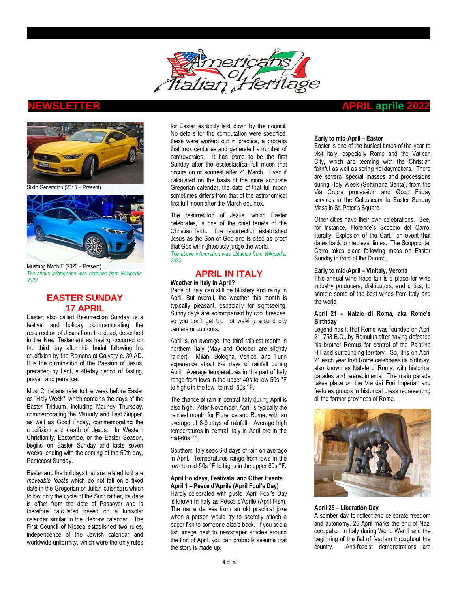



Sixth Generation (2015 – Present)



Mustang Mach E (2020 – Present) *The above information was obtained from Wikipedia, 2022*

# **EASTER SUNDAY 17 APRIL**

Easter, also called Resurrection Sunday, is a [festival](https://en.wikipedia.org/wiki/Festival) and [holiday](https://en.wikipedia.org/wiki/Holiday) commemorating the [resurrection of Jesus](https://en.wikipedia.org/wiki/Resurrection_of_Jesus) from the dead, described in the [New Testament](https://en.wikipedia.org/wiki/New_Testament) as having occurred on the third day after his [burial](https://en.wikipedia.org/wiki/Burial_of_Jesus) following [his](https://en.wikipedia.org/wiki/Crucifixion_of_Jesus)  [crucifixion](https://en.wikipedia.org/wiki/Crucifixion_of_Jesus) by the [Romans](https://en.wikipedia.org/wiki/Roman_people) at [Calvary](https://en.wikipedia.org/wiki/Calvary) c. 30 AD. It is the culmination of the [Passion of Jesus,](https://en.wikipedia.org/wiki/Passion_of_Jesus) preceded by [Lent,](https://en.wikipedia.org/wiki/Lent) a 40-day period of [fasting,](https://en.wikipedia.org/wiki/Fasting) [prayer,](https://en.wikipedia.org/wiki/Prayer) an[d penance.](https://en.wikipedia.org/wiki/Penance)

Most [Christians](https://en.wikipedia.org/wiki/Christians) refer to the week before Easter as ["Holy Week"](https://en.wikipedia.org/wiki/Holy_Week), which contains the days of the [Easter Triduum,](https://en.wikipedia.org/wiki/Easter_Triduum) including [Maundy Thursday,](https://en.wikipedia.org/wiki/Maundy_Thursday) commemorating the [Maundy](https://en.wikipedia.org/wiki/Maundy_(foot_washing)) and [Last Supper,](https://en.wikipedia.org/wiki/Last_Supper) as well as [Good Friday,](https://en.wikipedia.org/wiki/Good_Friday) commemorating the [crucifixion and death of Jesus.](https://en.wikipedia.org/wiki/Crucifixion_of_Jesus) In [Western](https://en.wikipedia.org/wiki/Western_Christianity)  [Christianity,](https://en.wikipedia.org/wiki/Western_Christianity) [Eastertide,](https://en.wikipedia.org/wiki/Eastertide) or the Easter Season, begins on Easter Sunday and lasts seven weeks, ending with the coming of the 50th day, [Pentecost Sunday.](https://en.wikipedia.org/wiki/Pentecost_Sunday) 

Easter and the holidays that are related to it are *[moveable feasts](https://en.wikipedia.org/wiki/Moveable_feast)* which do not fall on a fixed date in the [Gregorian](https://en.wikipedia.org/wiki/Gregorian_calendar) or [Julian](https://en.wikipedia.org/wiki/Julian_calendar) calendars which follow only the cycle of the Sun; rather, its date is offset from the date of Passover and is therefore calculated based on a [lunisolar](https://en.wikipedia.org/wiki/Lunisolar_calendar)  [calendar](https://en.wikipedia.org/wiki/Lunisolar_calendar) similar to the [Hebrew calendar.](https://en.wikipedia.org/wiki/Hebrew_calendar) The [First Council of Nicaea](https://en.wikipedia.org/wiki/First_Council_of_Nicaea) established two rules, independence of the Jewish calendar and worldwide uniformity, which were the only rules

for Easter explicitly laid down by the council. No details for the computation were specified; these were worked out in practice, a process that took centuries and generated a number of [controversies.](https://en.wikipedia.org/wiki/Easter_controversy) It has come to be the first Sunday after the [ecclesiastical full moon](https://en.wikipedia.org/wiki/Ecclesiastical_full_moon) that occurs on or soonest after 21 March. Even if calculated on the basis of the more accurate Gregorian calendar, the date of that full moon sometimes differs from that of the astronomical first full moon after the March equinox.

The resurrection of Jesus, which Easter celebrates, is one of the chief tenets of the Christian faith. The resurrection established Jesus as the [Son of God](https://en.wikipedia.org/wiki/Jesus) and is cited as proof that God will righteously judge the world. *The above information was obtained from Wikipedia, 2022*

# **APRIL IN ITALY**

#### **Weather in Italy in April?**

Parts of Italy can still be blustery and rainy in April. But overall, the weather this month is typically pleasant, especially for sightseeing. Sunny days are accompanied by cool breezes, so you don't get too hot walking around city centers or outdoors.

April is, on average, the third rainiest month in northern Italy [\(May](https://www.italofile.com/may-italy/) and [October](https://www.italofile.com/october-italy/) are slightly rainier). Milan, Bologna, Venice, and Turin experience about 8-9 days of rainfall during April. Average temperatures in this part of Italy range from lows in the upper 40s to low 50s °F to highs in the low- to mid- 60s °F.

The chance of rain in central Italy during April is also high. After [November,](https://www.italofile.com/november-italy/) April is typically the rainiest month for Florence and Rome, with an average of 8-9 days of rainfall. Average high temperatures in central Italy in April are in the mid-60s °F.

Southern Italy sees 6-8 days of rain on average in April. Temperatures range from lows in the low- to mid-50s °F to highs in the upper 60s °F.

#### **April Holidays, Festivals, and Other Events April 1 – Pesce d'Aprile (April Fool's Day)**

Hardly celebrated with gusto, April Fool's Day is known in Italy as Pesce d'Aprile (April Fish). The name derives from an old practical joke when a person would try to secretly attach a paper fish to someone else's back. If you see a fish image next to newspaper articles around the first of April, you can probably assume that the story is made up.

## **NEWSLETTER APRIL aprile 2022**

#### **Early to mid-April – Easter**

[Easter](https://www.italofile.com/visiting-the-vatican-and-rome-during-easter/) is one of the busiest times of the year to visit Italy, especially Rome and the Vatican City, which are teeming with the Christian faithful as well as spring holidaymakers. There are several special masses and processions during Holy Week (Settimana Santa), from the Via Crucis procession and Good Friday services in the Colosseum to Easter Sunday Mass in St. Peter's Square.

Other cities have their own celebrations. See, for instance, Florence's [Scoppio del Carro,](http://www.theflorentine.net/lifestyle/2007/04/easter-traditions-florence-italy/) literally "Explosion of the Cart," an event that dates back to medieval times. The Scoppio del Carro takes place following mass on Easter Sunday in front of the Duomo.

## **Early to mid-April – VinItaly, Verona**

This annual wine trade fair is a place for wine industry producers, distributors, and critics, to sample some of [the best wines from Italy and](https://www.vinitaly.com/)  [the world.](https://www.vinitaly.com/) 

## **April 21 – Natale di Roma, aka Rome's Birthday**

Legend has it that Rome was founded on April 21, 753 B.C., by Romulus after having defeated his brother Remus for control of the Palatine Hill and surrounding territory. So, it is on April 21 each year that Rome celebrates its birthday, also known as [Natale di Roma,](https://www.italofile.com/natale-di-roma/) with historical parades and reenactments. The main parade takes place on the Via dei Fori Imperiali and features groups in historical dress representing all the former provinces of Rome.



### **April 25 – Liberation Day**

A somber day to reflect and celebrate freedom and autonomy, 25 April marks the end of Nazi occupation in Italy during World War II and the beginning of the fall of fascism throughout the country. Anti-fascist demonstrations are